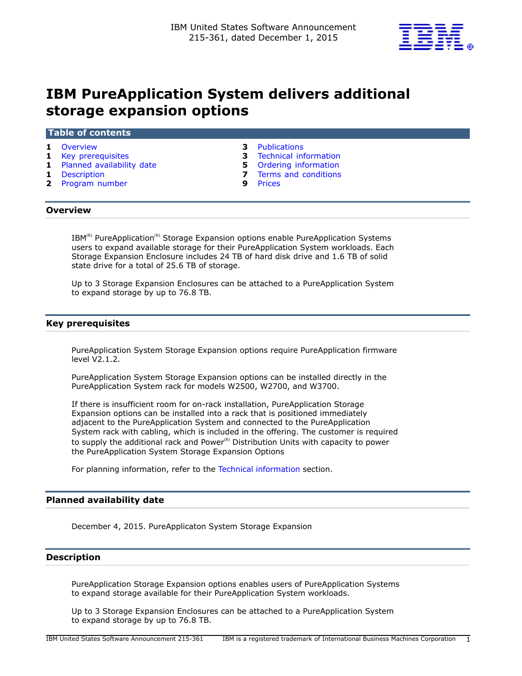

# **IBM PureApplication System delivers additional storage expansion options**

#### **Table of contents**

- 
- 
- **1** [Planned availability date](#page-0-2) **5** [Ordering information](#page-4-0)
- 
- **2** [Program number](#page-1-0)
- **1** [Overview](#page-0-0) **3** [Publications](#page-2-0)
- **1** [Key prerequisites](#page-0-1) **3** [Technical information](#page-2-1)
	-
- **1** [Description](#page-0-3) **7** [Terms and conditions](#page-6-0)<br>**2** Program number **9** Prices
	-

#### <span id="page-0-0"></span>**Overview**

 $IBM^{(R)}$  PureApplication<sup>(R)</sup> Storage Expansion options enable PureApplication Systems users to expand available storage for their PureApplication System workloads. Each Storage Expansion Enclosure includes 24 TB of hard disk drive and 1.6 TB of solid state drive for a total of 25.6 TB of storage.

Up to 3 Storage Expansion Enclosures can be attached to a PureApplication System to expand storage by up to 76.8 TB.

## <span id="page-0-1"></span>**Key prerequisites**

PureApplication System Storage Expansion options require PureApplication firmware level V2.1.2.

PureApplication System Storage Expansion options can be installed directly in the PureApplication System rack for models W2500, W2700, and W3700.

If there is insufficient room for on-rack installation, PureApplication Storage Expansion options can be installed into a rack that is positioned immediately adjacent to the PureApplication System and connected to the PureApplication System rack with cabling, which is included in the offering. The customer is required to supply the additional rack and Power $R$ <sup>2</sup> Distribution Units with capacity to power the PureApplication System Storage Expansion Options

For planning information, refer to the [Technical information](#page-2-1) section.

## <span id="page-0-2"></span>**Planned availability date**

December 4, 2015. PureApplicaton System Storage Expansion

## <span id="page-0-3"></span>**Description**

PureApplication Storage Expansion options enables users of PureApplication Systems to expand storage available for their PureApplication System workloads.

Up to 3 Storage Expansion Enclosures can be attached to a PureApplication System to expand storage by up to 76.8 TB.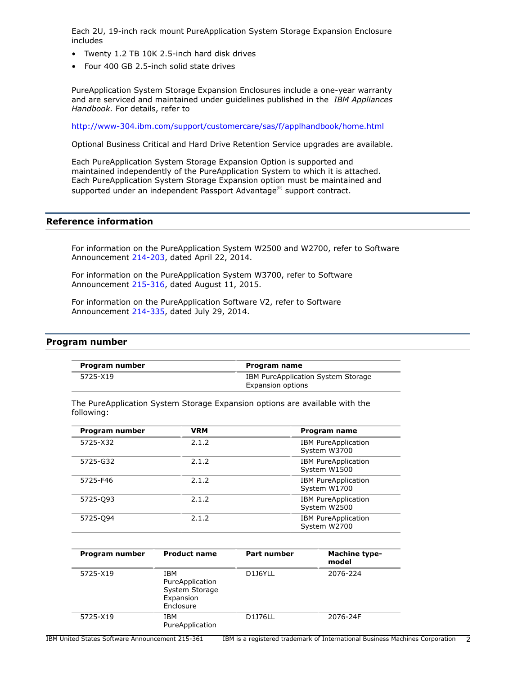Each 2U, 19-inch rack mount PureApplication System Storage Expansion Enclosure includes

- Twenty 1.2 TB 10K 2.5-inch hard disk drives
- Four 400 GB 2.5-inch solid state drives

PureApplication System Storage Expansion Enclosures include a one-year warranty and are serviced and maintained under guidelines published in the *IBM Appliances Handbook.* For details, refer to

<http://www-304.ibm.com/support/customercare/sas/f/applhandbook/home.html>

Optional Business Critical and Hard Drive Retention Service upgrades are available.

Each PureApplication System Storage Expansion Option is supported and maintained independently of the PureApplication System to which it is attached. Each PureApplication System Storage Expansion option must be maintained and supported under an independent Passport Advantage<sup>(R)</sup> support contract.

# **Reference information**

For information on the PureApplication System W2500 and W2700, refer to Software Announcement [214-203](http://www.ibm.com/common/ssi/cgi-bin/ssialias?infotype=an&subtype=ca&appname=gpateam&supplier=897&letternum=ENUS214-203), dated April 22, 2014.

For information on the PureApplication System W3700, refer to Software Announcement [215-316](http://www.ibm.com/common/ssi/cgi-bin/ssialias?infotype=an&subtype=ca&appname=gpateam&supplier=897&letternum=ENUS215-316), dated August 11, 2015.

For information on the PureApplication Software V2, refer to Software Announcement [214-335](http://www.ibm.com/common/ssi/cgi-bin/ssialias?infotype=an&subtype=ca&appname=gpateam&supplier=897&letternum=ENUS214-335), dated July 29, 2014.

## <span id="page-1-0"></span>**Program number**

| Program number | Program name                       |
|----------------|------------------------------------|
| 5725-X19       | IBM PureApplication System Storage |
|                | Expansion options                  |

The PureApplication System Storage Expansion options are available with the following:

| Program number | <b>VRM</b> | Program name                               |
|----------------|------------|--------------------------------------------|
| 5725-X32       | 2.1.2      | <b>IBM PureApplication</b><br>System W3700 |
| 5725-G32       | 2.1.2      | <b>IBM PureApplication</b><br>System W1500 |
| 5725-F46       | 2.1.2      | <b>IBM PureApplication</b><br>System W1700 |
| 5725-093       | 2.1.2      | <b>IBM PureApplication</b><br>System W2500 |
| 5725-094       | 2.1.2      | <b>IBM PureApplication</b><br>System W2700 |

| Program number | <b>Product name</b>                                                | <b>Part number</b> | <b>Machine type-</b><br>model |
|----------------|--------------------------------------------------------------------|--------------------|-------------------------------|
| 5725-X19       | IBM<br>PureApplication<br>System Storage<br>Expansion<br>Enclosure | D1J6YLL            | 2076-224                      |
| 5725-X19       | IBM<br>PureApplication                                             | D1J76LL            | 2076-24F                      |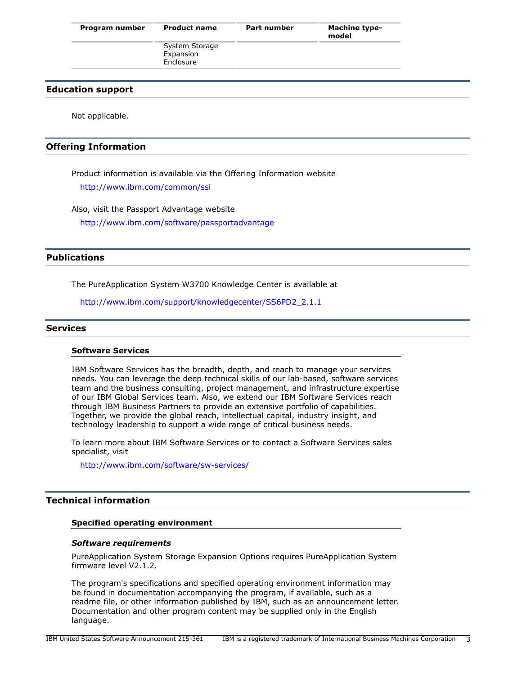| Program number | <b>Product name</b>                      | <b>Part number</b> | <b>Machine type-</b><br>model |
|----------------|------------------------------------------|--------------------|-------------------------------|
|                | System Storage<br>Expansion<br>Enclosure |                    |                               |

## **Education support**

Not applicable.

## **Offering Information**

Product information is available via the Offering Information website <http://www.ibm.com/common/ssi>

Also, visit the Passport Advantage website

<http://www.ibm.com/software/passportadvantage>

## <span id="page-2-0"></span>**Publications**

The PureApplication System W3700 Knowledge Center is available at

[http://www.ibm.com/support/knowledgecenter/SS6PD2\\_2.1.1](http://www.ibm.com/support/knowledgecenter/SS6PD2_2.1.1)

## **Services**

#### **Software Services**

IBM Software Services has the breadth, depth, and reach to manage your services needs. You can leverage the deep technical skills of our lab-based, software services team and the business consulting, project management, and infrastructure expertise of our IBM Global Services team. Also, we extend our IBM Software Services reach through IBM Business Partners to provide an extensive portfolio of capabilities. Together, we provide the global reach, intellectual capital, industry insight, and technology leadership to support a wide range of critical business needs.

To learn more about IBM Software Services or to contact a Software Services sales specialist, visit

<http://www.ibm.com/software/sw-services/>

# <span id="page-2-1"></span>**Technical information**

#### **Specified operating environment**

#### *Software requirements*

PureApplication System Storage Expansion Options requires PureApplication System firmware level V2.1.2.

The program's specifications and specified operating environment information may be found in documentation accompanying the program, if available, such as a readme file, or other information published by IBM, such as an announcement letter. Documentation and other program content may be supplied only in the English language.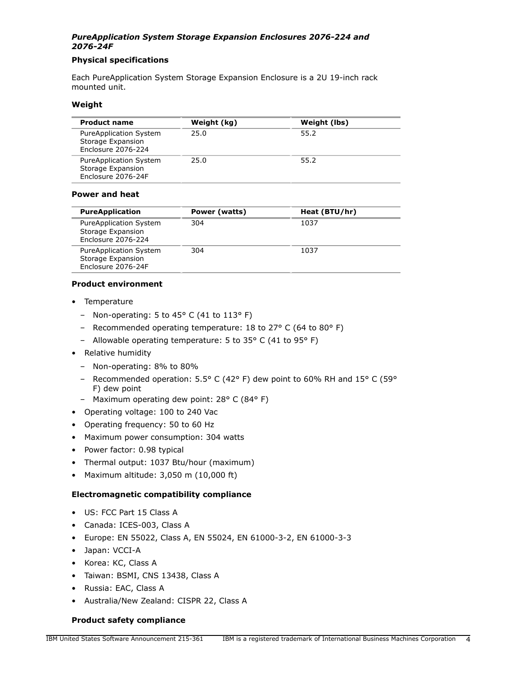# *PureApplication System Storage Expansion Enclosures 2076-224 and 2076-24F*

## **Physical specifications**

Each PureApplication System Storage Expansion Enclosure is a 2U 19-inch rack mounted unit.

## **Weight**

| <b>Product name</b>                                               | Weight (kg) | Weight (lbs) |
|-------------------------------------------------------------------|-------------|--------------|
| PureApplication System<br>Storage Expansion<br>Enclosure 2076-224 | 25.0        | 55.2         |
| PureApplication System<br>Storage Expansion<br>Enclosure 2076-24F | 25.0        | 55.2         |

## **Power and heat**

| <b>PureApplication</b>                                                   | Power (watts) | Heat (BTU/hr) |
|--------------------------------------------------------------------------|---------------|---------------|
| <b>PureApplication System</b><br>Storage Expansion<br>Enclosure 2076-224 | 304           | 1037          |
| <b>PureApplication System</b><br>Storage Expansion<br>Enclosure 2076-24F | 304           | 1037          |

## **Product environment**

- Temperature
	- Non-operating: 5 to 45° C (41 to 113° F)
	- Recommended operating temperature: 18 to 27° C (64 to 80° F)
	- Allowable operating temperature: 5 to 35° C (41 to 95° F)
- Relative humidity
	- Non-operating: 8% to 80%
	- Recommended operation: 5.5° C (42° F) dew point to 60% RH and 15° C (59° F) dew point
	- Maximum operating dew point: 28° C (84° F)
- Operating voltage: 100 to 240 Vac
- Operating frequency: 50 to 60 Hz
- Maximum power consumption: 304 watts
- Power factor: 0.98 typical
- Thermal output: 1037 Btu/hour (maximum)
- Maximum altitude: 3,050 m (10,000 ft)

## **Electromagnetic compatibility compliance**

- US: FCC Part 15 Class A
- Canada: ICES-003, Class A
- Europe: EN 55022, Class A, EN 55024, EN 61000-3-2, EN 61000-3-3
- Japan: VCCI-A
- Korea: KC, Class A
- Taiwan: BSMI, CNS 13438, Class A
- Russia: EAC, Class A
- Australia/New Zealand: CISPR 22, Class A

## **Product safety compliance**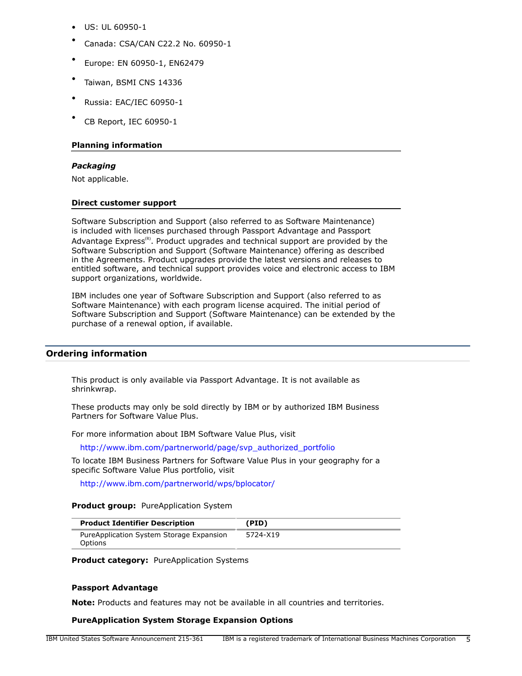- US: UL 60950-1
- Canada: CSA/CAN C22.2 No. 60950-1
- Europe: EN 60950-1, EN62479
- Taiwan, BSMI CNS 14336
- Russia: EAC/IEC 60950-1
- CB Report, IEC 60950-1

## **Planning information**

## *Packaging*

Not applicable.

#### **Direct customer support**

Software Subscription and Support (also referred to as Software Maintenance) is included with licenses purchased through Passport Advantage and Passport Advantage Express<sup>(R)</sup>. Product upgrades and technical support are provided by the Software Subscription and Support (Software Maintenance) offering as described in the Agreements. Product upgrades provide the latest versions and releases to entitled software, and technical support provides voice and electronic access to IBM support organizations, worldwide.

IBM includes one year of Software Subscription and Support (also referred to as Software Maintenance) with each program license acquired. The initial period of Software Subscription and Support (Software Maintenance) can be extended by the purchase of a renewal option, if available.

## <span id="page-4-0"></span>**Ordering information**

This product is only available via Passport Advantage. It is not available as shrinkwrap.

These products may only be sold directly by IBM or by authorized IBM Business Partners for Software Value Plus.

For more information about IBM Software Value Plus, visit

[http://www.ibm.com/partnerworld/page/svp\\_authorized\\_portfolio](http://www.ibm.com/partnerworld/page/svp_authorized_portfolio)

To locate IBM Business Partners for Software Value Plus in your geography for a specific Software Value Plus portfolio, visit

<http://www.ibm.com/partnerworld/wps/bplocator/>

#### **Product group:** PureApplication System

| <b>Product Identifier Description</b>               | (PID)    |
|-----------------------------------------------------|----------|
| PureApplication System Storage Expansion<br>Options | 5724-X19 |

**Product category: PureApplication Systems** 

#### **Passport Advantage**

**Note:** Products and features may not be available in all countries and territories.

## **PureApplication System Storage Expansion Options**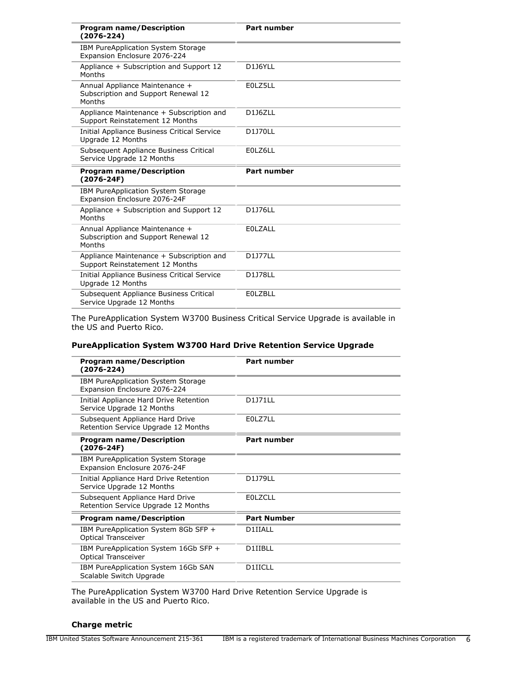| <b>Program name/Description</b><br>$(2076 - 224)$                               | <b>Part number</b> |
|---------------------------------------------------------------------------------|--------------------|
| IBM PureApplication System Storage<br>Expansion Enclosure 2076-224              |                    |
| Appliance + Subscription and Support 12<br>Months                               | D1J6YLL            |
| Annual Appliance Maintenance +<br>Subscription and Support Renewal 12<br>Months | E0LZ5LL            |
| Appliance Maintenance + Subscription and<br>Support Reinstatement 12 Months     | <b>D116ZLL</b>     |
| Initial Appliance Business Critical Service<br>Uparade 12 Months                | <b>D1J70LL</b>     |
| Subsequent Appliance Business Critical<br>Service Upgrade 12 Months             | E0LZ6LL            |
|                                                                                 |                    |
| <b>Program name/Description</b><br>$(2076 - 24F)$                               | <b>Part number</b> |
| IBM PureApplication System Storage<br>Expansion Enclosure 2076-24F              |                    |
| Appliance + Subscription and Support 12<br>Months                               | D1J76LL            |
| Annual Appliance Maintenance +<br>Subscription and Support Renewal 12<br>Months | <b>EOLZALL</b>     |
| Appliance Maintenance + Subscription and<br>Support Reinstatement 12 Months     | <b>D1J77LL</b>     |
| Initial Appliance Business Critical Service<br>Upgrade 12 Months                | <b>D1178LL</b>     |

The PureApplication System W3700 Business Critical Service Upgrade is available in the US and Puerto Rico.

## **PureApplication System W3700 Hard Drive Retention Service Upgrade**

| <b>Program name/Description</b><br>(2076-224)                          | <b>Part number</b> |
|------------------------------------------------------------------------|--------------------|
| IBM PureApplication System Storage<br>Expansion Enclosure 2076-224     |                    |
| Initial Appliance Hard Drive Retention<br>Service Upgrade 12 Months    | D1J71LL            |
| Subsequent Appliance Hard Drive<br>Retention Service Upgrade 12 Months | E0LZ7LL            |
| <b>Program name/Description</b><br>$(2076 - 24F)$                      | <b>Part number</b> |
| IBM PureApplication System Storage<br>Expansion Enclosure 2076-24F     |                    |
| Initial Appliance Hard Drive Retention<br>Service Upgrade 12 Months    | D1J79LL            |
| Subsequent Appliance Hard Drive<br>Retention Service Upgrade 12 Months | <b>EOLZCLL</b>     |
| <b>Program name/Description</b>                                        | <b>Part Number</b> |
| IBM PureApplication System 8Gb SFP +<br><b>Optical Transceiver</b>     | D1IIALL            |
| IBM PureApplication System 16Gb SFP +<br><b>Optical Transceiver</b>    | D1IIBLL            |
| IBM PureApplication System 16Gb SAN<br>Scalable Switch Upgrade         | D1IICLL            |

The PureApplication System W3700 Hard Drive Retention Service Upgrade is available in the US and Puerto Rico.

## **Charge metric**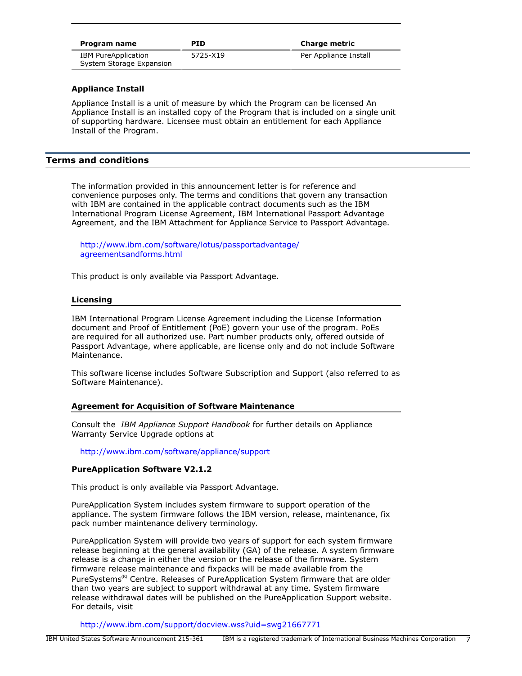| Program name                                    | <b>PID</b> | <b>Charge metric</b>  |
|-------------------------------------------------|------------|-----------------------|
| IBM PureApplication<br>System Storage Expansion | 5725-X19   | Per Appliance Install |

## **Appliance Install**

Appliance Install is a unit of measure by which the Program can be licensed An Appliance Install is an installed copy of the Program that is included on a single unit of supporting hardware. Licensee must obtain an entitlement for each Appliance Install of the Program.

## <span id="page-6-0"></span>**Terms and conditions**

The information provided in this announcement letter is for reference and convenience purposes only. The terms and conditions that govern any transaction with IBM are contained in the applicable contract documents such as the IBM International Program License Agreement, IBM International Passport Advantage Agreement, and the IBM Attachment for Appliance Service to Passport Advantage.

[http://www.ibm.com/software/lotus/passportadvantage/](http://www.ibm.com/software/lotus/passportadvantage/agreementsandforms.html) [agreementsandforms.html](http://www.ibm.com/software/lotus/passportadvantage/agreementsandforms.html)

This product is only available via Passport Advantage.

#### **Licensing**

IBM International Program License Agreement including the License Information document and Proof of Entitlement (PoE) govern your use of the program. PoEs are required for all authorized use. Part number products only, offered outside of Passport Advantage, where applicable, are license only and do not include Software Maintenance.

This software license includes Software Subscription and Support (also referred to as Software Maintenance).

## **Agreement for Acquisition of Software Maintenance**

Consult the *IBM Appliance Support Handbook* for further details on Appliance Warranty Service Upgrade options at

<http://www.ibm.com/software/appliance/support>

## **PureApplication Software V2.1.2**

This product is only available via Passport Advantage.

PureApplication System includes system firmware to support operation of the appliance. The system firmware follows the IBM version, release, maintenance, fix pack number maintenance delivery terminology.

PureApplication System will provide two years of support for each system firmware release beginning at the general availability (GA) of the release. A system firmware release is a change in either the version or the release of the firmware. System firmware release maintenance and fixpacks will be made available from the PureSystems<sup>(R)</sup> Centre. Releases of PureApplication System firmware that are older than two years are subject to support withdrawal at any time. System firmware release withdrawal dates will be published on the PureApplication Support website. For details, visit

<http://www.ibm.com/support/docview.wss?uid=swg21667771>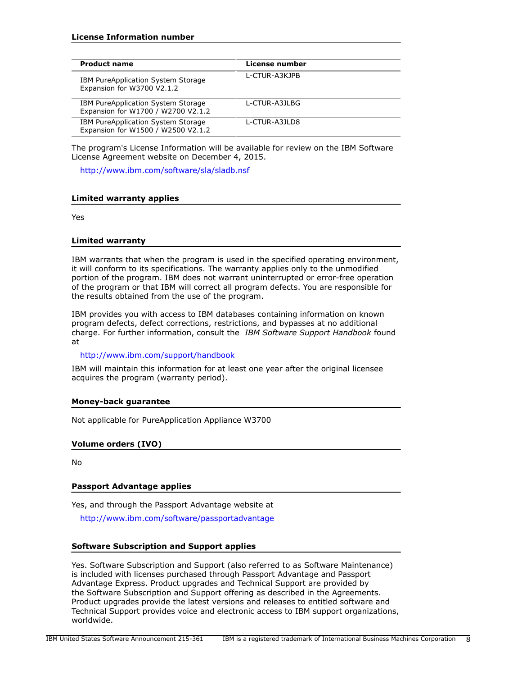| <b>Product name</b>                                                             | License number |
|---------------------------------------------------------------------------------|----------------|
| IBM PureApplication System Storage<br>Expansion for W3700 V2.1.2                | L-CTUR-A3KJPB  |
| <b>IBM PureApplication System Storage</b><br>Expansion for W1700 / W2700 V2.1.2 | L-CTUR-A3JLBG  |
| <b>IBM PureApplication System Storage</b><br>Expansion for W1500 / W2500 V2.1.2 | L-CTUR-A3JLD8  |

The program's License Information will be available for review on the IBM Software License Agreement website on December 4, 2015.

<http://www.ibm.com/software/sla/sladb.nsf>

## **Limited warranty applies**

Yes

## **Limited warranty**

IBM warrants that when the program is used in the specified operating environment, it will conform to its specifications. The warranty applies only to the unmodified portion of the program. IBM does not warrant uninterrupted or error-free operation of the program or that IBM will correct all program defects. You are responsible for the results obtained from the use of the program.

IBM provides you with access to IBM databases containing information on known program defects, defect corrections, restrictions, and bypasses at no additional charge. For further information, consult the *IBM Software Support Handbook* found at

## <http://www.ibm.com/support/handbook>

IBM will maintain this information for at least one year after the original licensee acquires the program (warranty period).

## **Money-back guarantee**

Not applicable for PureApplication Appliance W3700

## **Volume orders (IVO)**

No

## **Passport Advantage applies**

Yes, and through the Passport Advantage website at

<http://www.ibm.com/software/passportadvantage>

## **Software Subscription and Support applies**

Yes. Software Subscription and Support (also referred to as Software Maintenance) is included with licenses purchased through Passport Advantage and Passport Advantage Express. Product upgrades and Technical Support are provided by the Software Subscription and Support offering as described in the Agreements. Product upgrades provide the latest versions and releases to entitled software and Technical Support provides voice and electronic access to IBM support organizations, worldwide.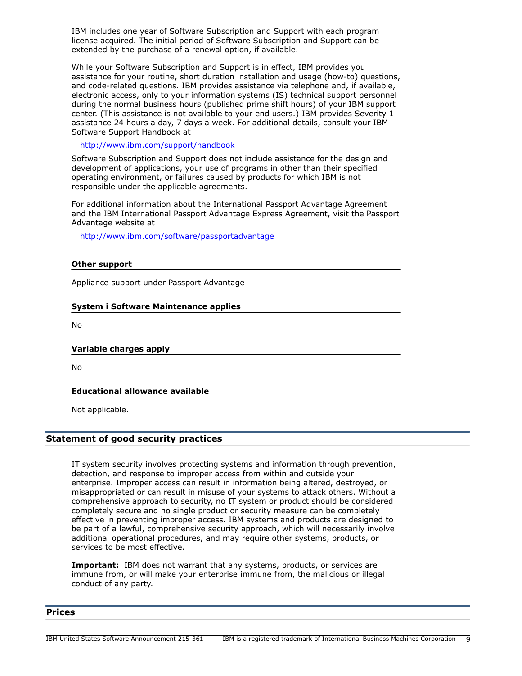IBM includes one year of Software Subscription and Support with each program license acquired. The initial period of Software Subscription and Support can be extended by the purchase of a renewal option, if available.

While your Software Subscription and Support is in effect, IBM provides you assistance for your routine, short duration installation and usage (how-to) questions, and code-related questions. IBM provides assistance via telephone and, if available, electronic access, only to your information systems (IS) technical support personnel during the normal business hours (published prime shift hours) of your IBM support center. (This assistance is not available to your end users.) IBM provides Severity 1 assistance 24 hours a day, 7 days a week. For additional details, consult your IBM Software Support Handbook at

<http://www.ibm.com/support/handbook>

Software Subscription and Support does not include assistance for the design and development of applications, your use of programs in other than their specified operating environment, or failures caused by products for which IBM is not responsible under the applicable agreements.

For additional information about the International Passport Advantage Agreement and the IBM International Passport Advantage Express Agreement, visit the Passport Advantage website at

<http://www.ibm.com/software/passportadvantage>

## **Other support**

Appliance support under Passport Advantage

## **System i Software Maintenance applies**

No

## **Variable charges apply**

No

## **Educational allowance available**

Not applicable.

## **Statement of good security practices**

IT system security involves protecting systems and information through prevention, detection, and response to improper access from within and outside your enterprise. Improper access can result in information being altered, destroyed, or misappropriated or can result in misuse of your systems to attack others. Without a comprehensive approach to security, no IT system or product should be considered completely secure and no single product or security measure can be completely effective in preventing improper access. IBM systems and products are designed to be part of a lawful, comprehensive security approach, which will necessarily involve additional operational procedures, and may require other systems, products, or services to be most effective.

**Important:** IBM does not warrant that any systems, products, or services are immune from, or will make your enterprise immune from, the malicious or illegal conduct of any party.

#### <span id="page-8-0"></span>**Prices**